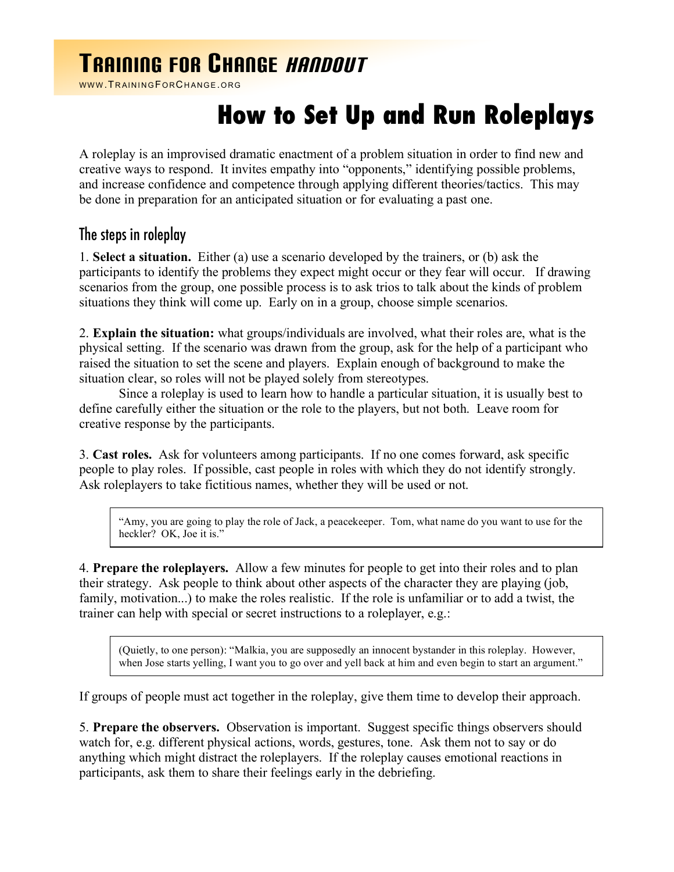## TRAINING FOR CHANGE HANDOUT

WWW.TRAININGFORCHANGE.ORG

## **How to Set Up and Run Roleplays**

A roleplay is an improvised dramatic enactment of a problem situation in order to find new and creative ways to respond. It invites empathy into "opponents," identifying possible problems, and increase confidence and competence through applying different theories/tactics. This may be done in preparation for an anticipated situation or for evaluating a past one.

## The steps in roleplay

1. **Select a situation.** Either (a) use a scenario developed by the trainers, or (b) ask the participants to identify the problems they expect might occur or they fear will occur. If drawing scenarios from the group, one possible process is to ask trios to talk about the kinds of problem situations they think will come up. Early on in a group, choose simple scenarios.

2. **Explain the situation:** what groups/individuals are involved, what their roles are, what is the physical setting. If the scenario was drawn from the group, ask for the help of a participant who raised the situation to set the scene and players. Explain enough of background to make the situation clear, so roles will not be played solely from stereotypes.

Since a roleplay is used to learn how to handle a particular situation, it is usually best to define carefully either the situation or the role to the players, but not both. Leave room for creative response by the participants.

3. **Cast roles.** Ask for volunteers among participants. If no one comes forward, ask specific people to play roles. If possible, cast people in roles with which they do not identify strongly. Ask roleplayers to take fictitious names, whether they will be used or not.

"Amy, you are going to play the role of Jack, a peacekeeper. Tom, what name do you want to use for the heckler? OK, Joe it is.'

4. **Prepare the roleplayers.** Allow a few minutes for people to get into their roles and to plan their strategy. Ask people to think about other aspects of the character they are playing (job, family, motivation...) to make the roles realistic. If the role is unfamiliar or to add a twist, the trainer can help with special or secret instructions to a roleplayer, e.g.:

(Quietly, to one person): "Malkia, you are supposedly an innocent bystander in this roleplay. However, when Jose starts yelling, I want you to go over and yell back at him and even begin to start an argument."

If groups of people must act together in the roleplay, give them time to develop their approach.

5. **Prepare the observers.** Observation is important. Suggest specific things observers should watch for, e.g. different physical actions, words, gestures, tone. Ask them not to say or do anything which might distract the roleplayers. If the roleplay causes emotional reactions in participants, ask them to share their feelings early in the debriefing.